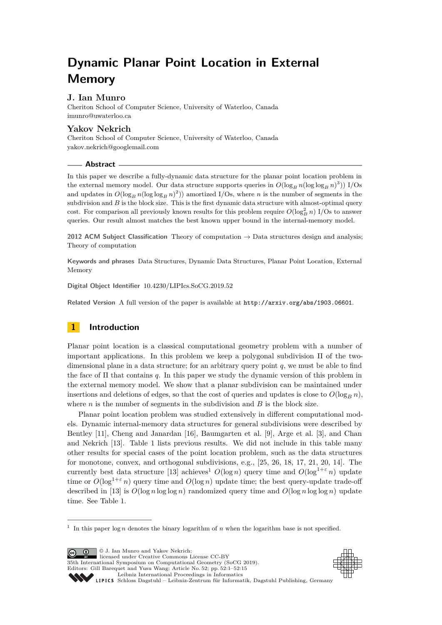# **Dynamic Planar Point Location in External Memory**

## **J. Ian Munro**

Cheriton School of Computer Science, University of Waterloo, Canada [imunro@uwaterloo.ca](mailto:imunro@uwaterloo.ca)

## **Yakov Nekrich**

Cheriton School of Computer Science, University of Waterloo, Canada [yakov.nekrich@googlemail.com](mailto:yakov.nekrich@googlemail.com)

#### **Abstract**

In this paper we describe a fully-dynamic data structure for the planar point location problem in the external memory model. Our data structure supports queries in  $O(\log_B n (\log \log_B n)^3))$  I/Os and updates in  $O(\log_B n (\log \log_B n)^2))$  amortized I/Os, where *n* is the number of segments in the subdivision and  $B$  is the block size. This is the first dynamic data structure with almost-optimal query cost. For comparison all previously known results for this problem require  $O(\log_B^2 n)$  I/Os to answer queries. Our result almost matches the best known upper bound in the internal-memory model.

**2012 ACM Subject Classification** Theory of computation → Data structures design and analysis; Theory of computation

**Keywords and phrases** Data Structures, Dynamic Data Structures, Planar Point Location, External Memory

**Digital Object Identifier** [10.4230/LIPIcs.SoCG.2019.52](https://doi.org/10.4230/LIPIcs.SoCG.2019.52)

Related Version A full version of the paper is available at <http://arxiv.org/abs/1903.06601>.

## **1 Introduction**

Planar point location is a classical computational geometry problem with a number of important applications. In this problem we keep a polygonal subdivision  $\Pi$  of the twodimensional plane in a data structure; for an arbitrary query point *q*, we must be able to find the face of Π that contains *q*. In this paper we study the dynamic version of this problem in the external memory model. We show that a planar subdivision can be maintained under insertions and deletions of edges, so that the cost of queries and updates is close to  $O(\log_B n)$ , where  $n$  is the number of segments in the subdivision and  $B$  is the block size.

Planar point location problem was studied extensively in different computational models. Dynamic internal-memory data structures for general subdivisions were described by Bentley [\[11\]](#page-13-0), Cheng and Janardan [\[16\]](#page-13-1), Baumgarten et al. [\[9\]](#page-13-2), Arge et al. [\[3\]](#page-13-3), and Chan and Nekrich [\[13\]](#page-13-4). Table [1](#page-1-0) lists previous results. We did not include in this table many other results for special cases of the point location problem, such as the data structures for monotone, convex, and orthogonal subdivisions, e.g., [\[25,](#page-14-0) [26,](#page-14-1) [18,](#page-14-2) [17,](#page-13-5) [21,](#page-14-3) [20,](#page-14-4) [14\]](#page-13-6). The currently best data structure [\[13\]](#page-13-4) achieves<sup>[1](#page-0-0)</sup>  $O(\log n)$  query time and  $O(\log^{1+\epsilon} n)$  update time or  $O(\log^{1+\epsilon} n)$  query time and  $O(\log n)$  update time; the best query-update trade-off described in [\[13\]](#page-13-4) is  $O(\log n \log \log n)$  randomized query time and  $O(\log n \log \log n)$  update time. See Table [1.](#page-1-0)

**c i**  $\bullet$  J. Ian Munro and Yakov Nekrich: licensed under Creative Commons License CC-BY 35th International Symposium on Computational Geometry (SoCG 2019). Editors: Gill Barequet and Yusu Wang; Article No. 52; pp. 52:1–52[:15](#page-14-5) [Leibniz International Proceedings in Informatics](https://www.dagstuhl.de/lipics/)





SCHLOSS Dagstuhl – Leibniz-Zentrum für Informatik, Dagstuhl Publishing, Germany

<span id="page-0-0"></span><sup>&</sup>lt;sup>1</sup> In this paper  $\log n$  denotes the binary logarithm of *n* when the logarithm base is not specified.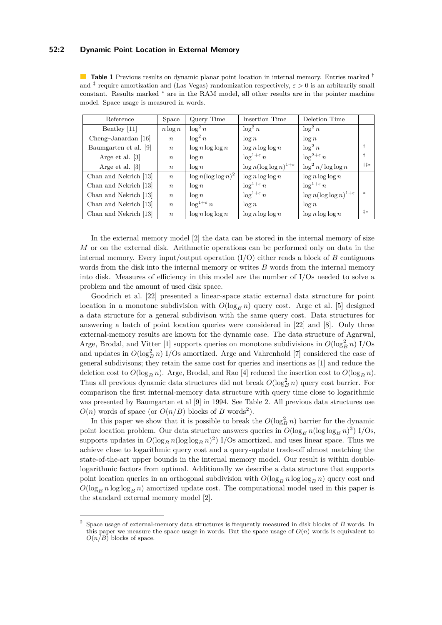## **52:2 Dynamic Point Location in External Memory**

<span id="page-1-0"></span>**Table 1** Previous results on dynamic planar point location in internal memory. Entries marked † and ‡ require amortization and (Las Vegas) randomization respectively, *ε >* 0 is an arbitrarily small constant. Results marked <sup>∗</sup> are in the RAM model, all other results are in the pointer machine model. Space usage is measured in words.

| Reference             | Space            | Query Time               | Insertion Time                     | Deletion Time                         |               |
|-----------------------|------------------|--------------------------|------------------------------------|---------------------------------------|---------------|
| Bentley [11]          | $n \log n$       | $\log^2 n$               | $\log^2 n$                         | $\log^2 n$                            |               |
| Cheng-Janardan [16]   | $\boldsymbol{n}$ | $\log^2 n$               | $\log n$                           | $\log n$                              |               |
| Baumgarten et al. [9] | $\boldsymbol{n}$ | $\log n \log \log n$     | $\log n \log \log n$               | $\log^2 n$                            |               |
| Arge et al. [3]       | $\boldsymbol{n}$ | $\log n$                 | $\log^{1+\varepsilon} n$           | $\log^{2+\varepsilon} n$              |               |
| Arge et al. [3]       | $\boldsymbol{n}$ | $\log n$                 | $\log n(\log \log n)^{1+\epsilon}$ | $\log^2 n / \log \log n$              | $+1*$         |
| Chan and Nekrich [13] | $\boldsymbol{n}$ | $\log n(\log \log n)^2$  | $\log n \log \log n$               | $\log n \log \log n$                  |               |
| Chan and Nekrich [13] | $\boldsymbol{n}$ | $\log n$                 | $\log^{1+\varepsilon} n$           | $\log^{1+\varepsilon} n$              |               |
| Chan and Nekrich [13] | $\boldsymbol{n}$ | $\log n$                 | $\log^{1+\varepsilon} n$           | $\log n(\log \log n)^{1+\varepsilon}$ | $\frac{1}{2}$ |
| Chan and Nekrich [13] | $\boldsymbol{n}$ | $\log^{1+\varepsilon} n$ | $\log n$                           | $\log n$                              |               |
| Chan and Nekrich [13] | $\boldsymbol{n}$ | $\log n \log \log n$     | $\log n \log \log n$               | $\log n \log \log n$                  | $\ddagger *$  |

In the external memory model [\[2\]](#page-13-7) the data can be stored in the internal memory of size *M* or on the external disk. Arithmetic operations can be performed only on data in the internal memory. Every input/output operation (I/O) either reads a block of *B* contiguous words from the disk into the internal memory or writes *B* words from the internal memory into disk. Measures of efficiency in this model are the number of I/Os needed to solve a problem and the amount of used disk space.

Goodrich et al. [\[22\]](#page-14-6) presented a linear-space static external data structure for point location in a monotone subdivision with  $O(\log_B n)$  query cost. Arge et al. [\[5\]](#page-13-8) designed a data structure for a general subdivison with the same query cost. Data structures for answering a batch of point location queries were considered in [\[22\]](#page-14-6) and [\[8\]](#page-13-9). Only three external-memory results are known for the dynamic case. The data structure of Agarwal, Arge, Brodal, and Vitter [\[1\]](#page-13-10) supports queries on monotone subdivisions in  $O(\log_B^2 n)$  I/Os and updates in  $O(\log_B^2 n)$  I/Os amortized. Arge and Vahrenhold [\[7\]](#page-13-11) considered the case of general subdivisons; they retain the same cost for queries and insertions as [\[1\]](#page-13-10) and reduce the deletion cost to  $O(\log_B n)$ . Arge, Brodal, and Rao [\[4\]](#page-13-12) reduced the insertion cost to  $O(\log_B n)$ . Thus all previous dynamic data structures did not break  $O(\log_B^2 n)$  query cost barrier. For comparison the first internal-memory data structure with query time close to logarithmic was presented by Baumgarten et al [\[9\]](#page-13-2) in 1994. See Table [2.](#page-2-0) All previous data structures use  $O(n)$  words of space (or  $O(n/B)$  blocks of *B* words<sup>[2](#page-1-1)</sup>).

In this paper we show that it is possible to break the  $O(\log_B^2 n)$  barrier for the dynamic point location problem. Our data structure answers queries in  $O(\log_B n (\log \log_B n)^3)$  I/Os, supports updates in  $O(\log_B n (\log \log n)^2)$  I/Os amortized, and uses linear space. Thus we achieve close to logarithmic query cost and a query-update trade-off almost matching the state-of-the-art upper bounds in the internal memory model. Our result is within doublelogarithmic factors from optimal. Additionally we describe a data structure that supports point location queries in an orthogonal subdivision with  $O(\log_B n \log \log_B n)$  query cost and  $O(\log_B n \log \log_B n)$  amortized update cost. The computational model used in this paper is the standard external memory model [\[2\]](#page-13-7).

<span id="page-1-1"></span><sup>2</sup> Space usage of external-memory data structures is frequently measured in disk blocks of *B* words. In this paper we measure the space usage in words. But the space usage of  $O(n)$  words is equivalent to  $O(n/B)$  blocks of space.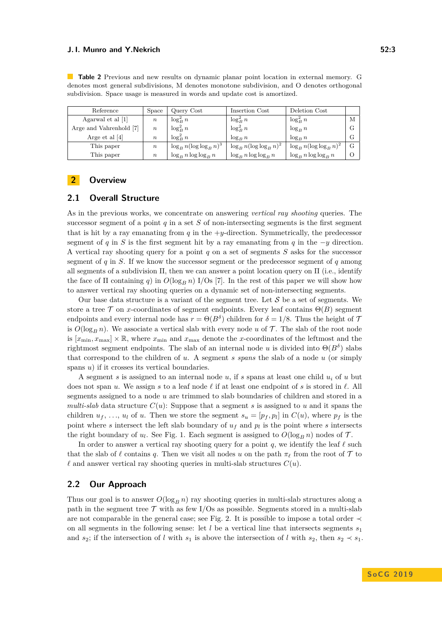| Reference               | Space            | Query Cost                   | Insertion Cost               | Deletion Cost                |          |
|-------------------------|------------------|------------------------------|------------------------------|------------------------------|----------|
| Agarwal et al [1]       | $\boldsymbol{n}$ | $\log_B^2 n$                 | $\log_B^2 n$                 | $\log_B^2 n$                 | M        |
| Arge and Vahrenhold [7] | $\boldsymbol{n}$ | $\log_B^2 n$                 | $\log_B^2 n$                 | $\log_B n$                   | G        |
| Arge et al $[4]$        | $\, n$           | $\log_B^2 n$                 | $\log_R n$                   | $\log_R n$                   | G        |
| This paper              | $\boldsymbol{n}$ | $\log_B n (\log \log_B n)^3$ | $\log_B n (\log \log_B n)^2$ | $\log_B n (\log \log_B n)^2$ | G        |
| This paper              | $\boldsymbol{n}$ | $\log_B n \log \log_B n$     | $\log_B n \log \log_B n$     | $\log_B n \log \log_B n$     | $\Omega$ |

<span id="page-2-0"></span>**Table 2** Previous and new results on dynamic planar point location in external memory. G denotes most general subdivisions, M denotes monotone subdivision, and O denotes orthogonal subdivision. Space usage is measured in words and update cost is amortized.

## <span id="page-2-2"></span>**2 Overview**

## <span id="page-2-1"></span>**2.1 Overall Structure**

As in the previous works, we concentrate on answering *vertical ray shooting* queries. The successor segment of a point  $q$  in a set  $S$  of non-intersecting segments is the first segment that is hit by a ray emanating from  $q$  in the  $+y$ -direction. Symmetrically, the predecessor segment of *q* in *S* is the first segment hit by a ray emanating from *q* in the  $-y$  direction. A vertical ray shooting query for a point *q* on a set of segments *S* asks for the successor segment of *q* in *S*. If we know the successor segment or the predecessor segment of *q* among all segments of a subdivision Π, then we can answer a point location query on Π (i.e., identify the face of  $\Pi$  containing *q*) in  $O(\log_B n)$  I/Os [\[7\]](#page-13-11). In the rest of this paper we will show how to answer vertical ray shooting queries on a dynamic set of non-intersecting segments.

Our base data structure is a variant of the segment tree. Let  $\mathcal S$  be a set of segments. We store a tree  $\mathcal T$  on *x*-coordinates of segment endpoints. Every leaf contains  $\Theta(B)$  segment endpoints and every internal node has  $r = \Theta(B^{\delta})$  children for  $\delta = 1/8$ . Thus the height of 7 is  $O(\log_B n)$ . We associate a vertical slab with every node *u* of  $\mathcal T$ . The slab of the root node is  $[x_{\min}, x_{\max}] \times \mathbb{R}$ , where  $x_{\min}$  and  $x_{\max}$  denote the *x*-coordinates of the leftmost and the rightmost segment endpoints. The slab of an internal node *u* is divided into  $\Theta(B^{\delta})$  slabs that correspond to the children of *u*. A segment *s spans* the slab of a node *u* (or simply spans *u*) if it crosses its vertical boundaries.

A segment *s* is assigned to an internal node  $u$ , if *s* spans at least one child  $u_i$  of  $u$  but does not span *u*. We assign *s* to a leaf node  $\ell$  if at least one endpoint of *s* is stored in  $\ell$ . All segments assigned to a node *u* are trimmed to slab boundaries of children and stored in a *multi-slab* data structure  $C(u)$ : Suppose that a segment *s* is assigned to *u* and it spans the children  $u_f$ , ...,  $u_l$  of  $u$ . Then we store the segment  $s_u = [p_f, p_l]$  in  $C(u)$ , where  $p_f$  is the point where  $s$  intersect the left slab boundary of  $u_f$  and  $p_l$  is the point where  $s$  intersects the right boundary of  $u_l$ . See Fig. [1.](#page-3-0) Each segment is assigned to  $O(\log_B n)$  nodes of  $\mathcal{T}$ .

In order to answer a vertical ray shooting query for a point  $q$ , we identify the leaf  $\ell$  such that the slab of  $\ell$  contains *q*. Then we visit all nodes *u* on the path  $\pi_{\ell}$  from the root of  $\mathcal T$  to  $\ell$  and answer vertical ray shooting queries in multi-slab structures  $C(u)$ .

## **2.2 Our Approach**

Thus our goal is to answer  $O(\log_B n)$  ray shooting queries in multi-slab structures along a path in the segment tree  $\mathcal T$  with as few I/Os as possible. Segments stored in a multi-slab are not comparable in the general case; see Fig. [2.](#page-3-1) It is possible to impose a total order  $\prec$ on all segments in the following sense: let *l* be a vertical line that intersects segments *s*<sup>1</sup> and *s*<sub>2</sub>; if the intersection of *l* with *s*<sub>1</sub> is above the intersection of *l* with *s*<sub>2</sub>, then *s*<sub>2</sub>  $\prec$  *s*<sub>1</sub>.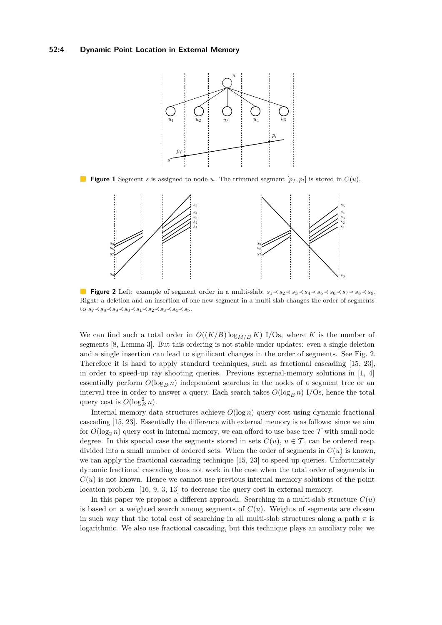#### <span id="page-3-0"></span>**52:4 Dynamic Point Location in External Memory**



<span id="page-3-1"></span>**Figure 1** Segment *s* is assigned to node *u*. The trimmed segment  $[p_f, p_l]$  is stored in  $C(u)$ .



**Figure 2** Left: example of segment order in a multi-slab;  $s_1 \prec s_2 \prec s_3 \prec s_4 \prec s_5 \prec s_6 \prec s_7 \prec s_8 \prec s_9$ . Right: a deletion and an insertion of one new segment in a multi-slab changes the order of segments to *s*7≺*s*8≺*s*9≺*s*0≺*s*1≺*s*2≺*s*3≺*s*4≺*s*5.

We can find such a total order in  $O((K/B) \log_{M/B} K)$  I/Os, where K is the number of segments [\[8,](#page-13-9) Lemma 3]. But this ordering is not stable under updates: even a single deletion and a single insertion can lead to significant changes in the order of segments. See Fig. [2.](#page-3-1) Therefore it is hard to apply standard techniques, such as fractional cascading [\[15,](#page-13-13) [23\]](#page-14-7), in order to speed-up ray shooting queries. Previous external-memory solutions in  $[1, 4]$  $[1, 4]$  $[1, 4]$ essentially perform  $O(\log_B n)$  independent searches in the nodes of a segment tree or an interval tree in order to answer a query. Each search takes  $O(\log_B n)$  I/Os, hence the total query cost is  $O(\log_B^2 n)$ .

Internal memory data structures achieve  $O(\log n)$  query cost using dynamic fractional cascading [\[15,](#page-13-13) [23\]](#page-14-7). Essentially the difference with external memory is as follows: since we aim for  $O(\log_2 n)$  query cost in internal memory, we can afford to use base tree  $\mathcal T$  with small node degree. In this special case the segments stored in sets  $C(u)$ ,  $u \in \mathcal{T}$ , can be ordered resp. divided into a small number of ordered sets. When the order of segments in *C*(*u*) is known, we can apply the fractional cascading technique [\[15,](#page-13-13) [23\]](#page-14-7) to speed up queries. Unfortunately dynamic fractional cascading does not work in the case when the total order of segments in  $C(u)$  is not known. Hence we cannot use previous internal memory solutions of the point location problem [\[16,](#page-13-1) [9,](#page-13-2) [3,](#page-13-3) [13\]](#page-13-4) to decrease the query cost in external memory.

In this paper we propose a different approach. Searching in a multi-slab structure  $C(u)$ is based on a weighted search among segments of  $C(u)$ . Weights of segments are chosen in such way that the total cost of searching in all multi-slab structures along a path  $\pi$  is logarithmic. We also use fractional cascading, but this technique plays an auxiliary role: we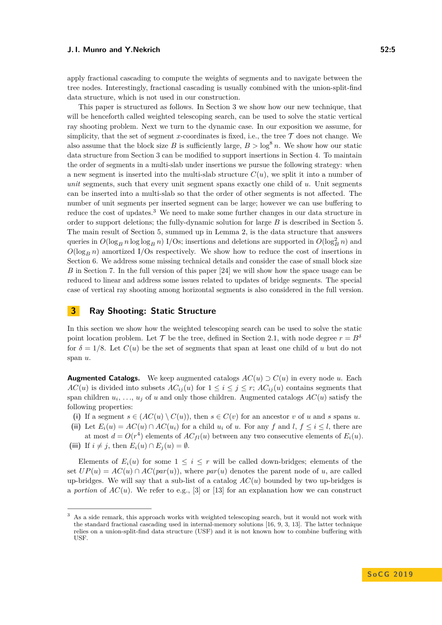apply fractional cascading to compute the weights of segments and to navigate between the tree nodes. Interestingly, fractional cascading is usually combined with the union-split-find data structure, which is not used in our construction.

This paper is structured as follows. In Section [3](#page-4-0) we show how our new technique, that will be henceforth called weighted telescoping search, can be used to solve the static vertical ray shooting problem. Next we turn to the dynamic case. In our exposition we assume, for simplicity, that the set of segment *x*-coordinates is fixed, i.e., the tree  $\mathcal T$  does not change. We also assume that the block size *B* is sufficiently large,  $B > \log^8 n$ . We show how our static data structure from Section [3](#page-4-0) can be modified to support insertions in Section [4.](#page-7-0) To maintain the order of segments in a multi-slab under insertions we pursue the following strategy: when a new segment is inserted into the multi-slab structure  $C(u)$ , we split it into a number of *unit* segments, such that every unit segment spans exactly one child of *u*. Unit segments can be inserted into a multi-slab so that the order of other segments is not affected. The number of unit segments per inserted segment can be large; however we can use buffering to reduce the cost of updates.[3](#page-4-1) We need to make some further changes in our data structure in order to support deletions; the fully-dynamic solution for large *B* is described in Section [5.](#page-9-0) The main result of Section [5,](#page-9-0) summed up in Lemma [2,](#page-12-0) is the data structure that answers queries in  $O(\log_B n \log \log n)$  I/Os; insertions and deletions are supported in  $O(\log_B^2 n)$  and  $O(\log_B n)$  amortized I/Os respectively. We show how to reduce the cost of insertions in Section [6.](#page-12-1) We address some missing technical details and consider the case of small block size *B* in Section [7.](#page-12-2) In the full version of this paper [\[24\]](#page-14-8) we will show how the space usage can be reduced to linear and address some issues related to updates of bridge segments. The special case of vertical ray shooting among horizontal segments is also considered in the full version.

## <span id="page-4-0"></span>**3 Ray Shooting: Static Structure**

In this section we show how the weighted telescoping search can be used to solve the static point location problem. Let  $\mathcal{T}$  be the tree, defined in Section [2.1,](#page-2-1) with node degree  $r = B^{\delta}$ for  $\delta = 1/8$ . Let  $C(u)$  be the set of segments that span at least one child of *u* but do not span *u*.

**Augmented Catalogs.** We keep augmented catalogs  $AC(u) \supset C(u)$  in every node *u*. Each *AC*(*u*) is divided into subsets  $AC_{ij}(u)$  for  $1 \leq i \leq j \leq r$ ;  $AC_{ij}(u)$  contains segments that span children  $u_i, \ldots, u_j$  of *u* and only those children. Augmented catalogs  $AC(u)$  satisfy the following properties:

- (i) If a segment  $s \in (AC(u) \setminus C(u))$ , then  $s \in C(v)$  for an ancestor *v* of *u* and *s* spans *u*.
- (ii) Let  $E_i(u) = AC(u) \cap AC(u_i)$  for a child  $u_i$  of  $u$ . For any  $f$  and  $l, f \leq i \leq l$ , there are
- at most  $d = O(r^4)$  elements of  $AC_{fl}(u)$  between any two consecutive elements of  $E_i(u)$ . (iii) If  $i \neq j$ , then  $E_i(u) \cap E_j(u) = \emptyset$ .

Elements of  $E_i(u)$  for some  $1 \leq i \leq r$  will be called down-bridges; elements of the set  $UP(u) = AC(u) \cap AC(par(u))$ , where  $par(u)$  denotes the parent node of *u*, are called up-bridges. We will say that a sub-list of a catalog  $AC(u)$  bounded by two up-bridges is a *portion* of  $AC(u)$ . We refer to e.g., [\[3\]](#page-13-3) or [\[13\]](#page-13-4) for an explanation how we can construct

<span id="page-4-1"></span><sup>3</sup> As a side remark, this approach works with weighted telescoping search, but it would not work with the standard fractional cascading used in internal-memory solutions [\[16,](#page-13-1) [9,](#page-13-2) [3,](#page-13-3) [13\]](#page-13-4). The latter technique relies on a union-split-find data structure (USF) and it is not known how to combine buffering with USF.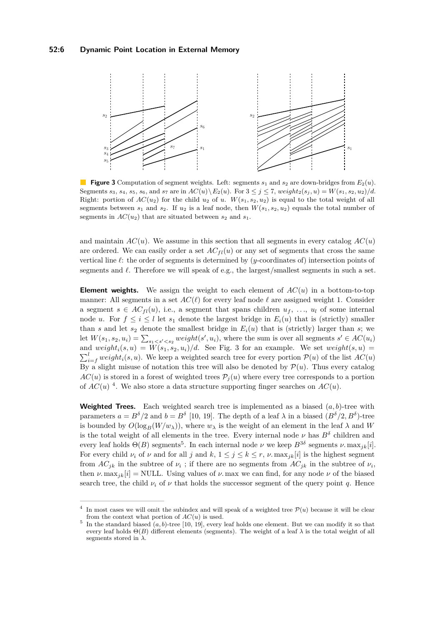#### **52:6 Dynamic Point Location in External Memory**

<span id="page-5-0"></span>

**Figure 3** Computation of segment weights. Left: segments *s*<sup>1</sup> and *s*<sup>2</sup> are down-bridges from *E*2(*u*). Segments  $s_3$ ,  $s_4$ ,  $s_5$ ,  $s_6$ , and  $s_7$  are in  $AC(u) \ E_2(u)$ . For  $3 \leq j \leq 7$ ,  $weight_2(s_j, u) = W(s_1, s_2, u_2)/d$ . Right: portion of  $AC(u_2)$  for the child  $u_2$  of *u*.  $W(s_1, s_2, u_2)$  is equal to the total weight of all segments between  $s_1$  and  $s_2$ . If  $u_2$  is a leaf node, then  $W(s_1, s_2, u_2)$  equals the total number of segments in  $AC(u_2)$  that are situated between  $s_2$  and  $s_1$ .

and maintain  $AC(u)$ . We assume in this section that all segments in every catalog  $AC(u)$ are ordered. We can easily order a set  $AC_{fl}(u)$  or any set of segments that cross the same vertical line  $\ell$ : the order of segments is determined by  $(y$ -coordinates of) intersection points of segments and  $\ell$ . Therefore we will speak of e.g., the largest/smallest segments in such a set.

**Element weights.** We assign the weight to each element of  $AC(u)$  in a bottom-to-top manner: All segments in a set  $AC(\ell)$  for every leaf node  $\ell$  are assigned weight 1. Consider a segment  $s \in AC_{fl}(u)$ , i.e., a segment that spans children  $u_f, \ldots, u_l$  of some internal node *u*. For  $f \leq i \leq l$  let  $s_1$  denote the largest bridge in  $E_i(u)$  that is (strictly) smaller than *s* and let  $s_2$  denote the smallest bridge in  $E_i(u)$  that is (strictly) larger than *s*; we let  $W(s_1, s_2, u_i) = \sum_{s_1 < s' < s_2} weight(s', u_i)$ , where the sum is over all segments  $s' \in AC(u_i)$ and  $weight_i(s, u) = W(s_1, s_2, u_i)/d$ . See Fig. [3](#page-5-0) for an example. We set  $weight(s, u)$  $\sum_{i=f}^{l} weight_i(s, u)$ . We keep a weighted search tree for every portion  $\mathcal{P}(u)$  of the list  $AC(u)$ By a slight misuse of notation this tree will also be denoted by  $\mathcal{P}(u)$ . Thus every catalog  $AC(u)$  is stored in a forest of weighted trees  $P_i(u)$  where every tree corresponds to a portion of  $AC(u)$ <sup>[4](#page-5-1)</sup>. We also store a data structure supporting finger searches on  $AC(u)$ .

**Weighted Trees.** Each weighted search tree is implemented as a biased  $(a, b)$ -tree with parameters  $a = B^{\delta}/2$  and  $b = B^{\delta}$  [\[10,](#page-13-14) [19\]](#page-14-9). The depth of a leaf  $\lambda$  in a biased  $(B^{\delta}/2, B^{\delta})$ -tree is bounded by  $O(\log_B(W/w_\lambda))$ , where  $w_\lambda$  is the weight of an element in the leaf  $\lambda$  and W is the total weight of all elements in the tree. Every internal node  $\nu$  has  $B^{\delta}$  children and every leaf holds  $\Theta(B)$  segments<sup>[5](#page-5-2)</sup>. In each internal node  $\nu$  we keep  $B^{3\delta}$  segments  $\nu$ . max<sub>jk</sub>[*i*]. For every child  $\nu_i$  of  $\nu$  and for all  $j$  and  $k, 1 \leq j \leq k \leq r$ ,  $\nu$ . max<sub>*ik*</sub>[*i*] is the highest segment from  $AC_{jk}$  in the subtree of  $\nu_i$ ; if there are no segments from  $AC_{jk}$  in the subtree of  $\nu_i$ , then  $\nu$ . max<sub>jk</sub>[i] = NULL. Using values of  $\nu$ . max we can find, for any node  $\nu$  of the biased search tree, the child  $\nu_i$  of  $\nu$  that holds the successor segment of the query point q. Hence

<span id="page-5-1"></span><sup>4</sup> In most cases we will omit the subindex and will speak of a weighted tree  $\mathcal{P}(u)$  because it will be clear from the context what portion of *AC*(*u*) is used.

<span id="page-5-2"></span><sup>&</sup>lt;sup>5</sup> In the standard biased  $(a, b)$ -tree [\[10,](#page-13-14) [19\]](#page-14-9), every leaf holds one element. But we can modify it so that every leaf holds  $\Theta(B)$  different elements (segments). The weight of a leaf  $\lambda$  is the total weight of all segments stored in *λ*.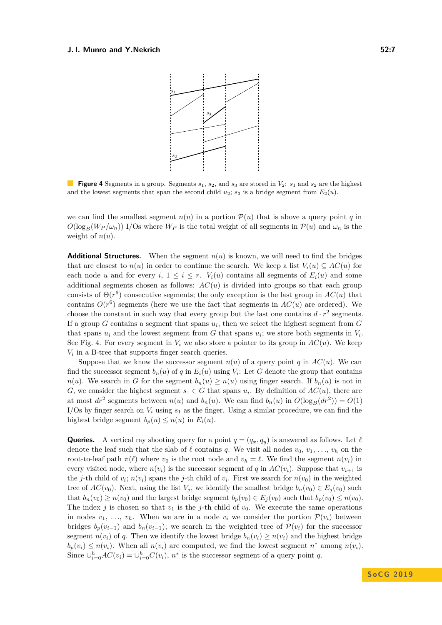<span id="page-6-0"></span>

**Figure 4** Segments in a group. Segments  $s_1$ ,  $s_2$ , and  $s_3$  are stored in  $V_2$ :  $s_1$  and  $s_2$  are the highest and the lowest segments that span the second child  $u_2$ ;  $s_3$  is a bridge segment from  $E_2(u)$ .

we can find the smallest segment  $n(u)$  in a portion  $P(u)$  that is above a query point q in  $O(\log_B (W_P/\omega_n))$  I/Os where  $W_P$  is the total weight of all segments in  $P(u)$  and  $\omega_n$  is the weight of  $n(u)$ .

**Additional Structures.** When the segment  $n(u)$  is known, we will need to find the bridges that are closest to  $n(u)$  in order to continue the search. We keep a list  $V_i(u) \subseteq AC(u)$  for each node *u* and for every *i*,  $1 \leq i \leq r$ .  $V_i(u)$  contains all segments of  $E_i(u)$  and some additional segments chosen as follows:  $AC(u)$  is divided into groups so that each group consists of  $\Theta(r^6)$  consecutive segments; the only exception is the last group in  $AC(u)$  that contains  $O(r^6)$  segments (here we use the fact that segments in  $AC(u)$  are ordered). We choose the constant in such way that every group but the last one contains  $d \cdot r^2$  segments. If a group *G* contains a segment that spans *u<sup>i</sup>* , then we select the highest segment from *G* that spans  $u_i$  and the lowest segment from  $G$  that spans  $u_i$ ; we store both segments in  $V_i$ . See Fig. [4.](#page-6-0) For every segment in  $V_i$  we also store a pointer to its group in  $AC(u)$ . We keep  $V_i$  in a B-tree that supports finger search queries.

Suppose that we know the successor segment  $n(u)$  of a query point *q* in  $AC(u)$ . We can find the successor segment  $b_n(u)$  of  $q$  in  $E_i(u)$  using  $V_i$ : Let  $G$  denote the group that contains *n*(*u*). We search in *G* for the segment  $b_n(u) \geq n(u)$  using finger search. If  $b_n(u)$  is not in *G*, we consider the highest segment  $s_1 \in G$  that spans  $u_i$ . By definition of  $AC(u)$ , there are at most  $dr^2$  segments between  $n(u)$  and  $b_n(u)$ . We can find  $b_n(u)$  in  $O(\log_B(dr^2)) = O(1)$ I/Os by finger search on  $V_i$  using  $s_1$  as the finger. Using a similar procedure, we can find the highest bridge segment  $b_p(u) \leq n(u)$  in  $E_i(u)$ .

**Queries.** A vertical ray shooting query for a point  $q = (q_x, q_y)$  is answered as follows. Let  $\ell$ denote the leaf such that the slab of  $\ell$  contains  $q$ . We visit all nodes  $v_0, v_1, \ldots, v_h$  on the root-to-leaf path  $\pi(\ell)$  where  $v_0$  is the root node and  $v_h = \ell$ . We find the segment  $n(v_i)$  in every visited node, where  $n(v_i)$  is the successor segment of *q* in  $AC(v_i)$ . Suppose that  $v_{i+1}$  is the *j*-th child of  $v_i$ ;  $n(v_i)$  spans the *j*-th child of  $v_i$ . First we search for  $n(v_0)$  in the weighted tree of  $AC(v_0)$ . Next, using the list  $V_j$ , we identify the smallest bridge  $b_n(v_0) \in E_j(v_0)$  such that  $b_n(v_0) \geq n(v_0)$  and the largest bridge segment  $b_p(v_0) \in E_j(v_0)$  such that  $b_p(v_0) \leq n(v_0)$ . The index *j* is chosen so that  $v_1$  is the *j*-th child of  $v_0$ . We execute the same operations in nodes  $v_1, \ldots, v_h$ . When we are in a node  $v_i$  we consider the portion  $\mathcal{P}(v_i)$  between bridges  $b_p(v_{i-1})$  and  $b_p(v_{i-1})$ ; we search in the weighted tree of  $\mathcal{P}(v_i)$  for the successor segment  $n(v_i)$  of *q*. Then we identify the lowest bridge  $b_n(v_i) \geq n(v_i)$  and the highest bridge  $b_p(v_i) \leq n(v_i)$ . When all  $n(v_i)$  are computed, we find the lowest segment  $n^*$  among  $n(v_i)$ . Since  $\bigcup_{i=0}^{h} AC(v_i) = \bigcup_{i=0}^{h} C(v_i)$ ,  $n^*$  is the successor segment of a query point *q*.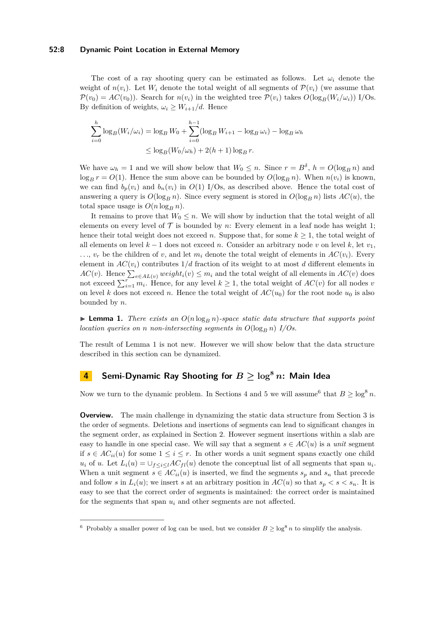#### **52:8 Dynamic Point Location in External Memory**

The cost of a ray shooting query can be estimated as follows. Let  $\omega_i$  denote the weight of  $n(v_i)$ . Let  $W_i$  denote the total weight of all segments of  $\mathcal{P}(v_i)$  (we assume that  $\mathcal{P}(v_0) = AC(v_0)$ . Search for  $n(v_i)$  in the weighted tree  $\mathcal{P}(v_i)$  takes  $O(\log_B(W_i/\omega_i))$  I/Os. By definition of weights,  $\omega_i \geq W_{i+1}/d$ . Hence

$$
\sum_{i=0}^{h} \log_B(W_i/\omega_i) = \log_B W_0 + \sum_{i=0}^{h-1} (\log_B W_{i+1} - \log_B \omega_i) - \log_B \omega_h
$$
  

$$
\leq \log_B(W_0/\omega_h) + 2(h+1)\log_B r.
$$

We have  $\omega_h = 1$  and we will show below that  $W_0 \leq n$ . Since  $r = B^{\delta}$ ,  $h = O(\log_B n)$  and  $\log_B r = O(1)$ . Hence the sum above can be bounded by  $O(\log_B n)$ . When  $n(v_i)$  is known, we can find  $b_p(v_i)$  and  $b_n(v_i)$  in  $O(1)$  I/Os, as described above. Hence the total cost of answering a query is  $O(\log_B n)$ . Since every segment is stored in  $O(\log_B n)$  lists  $AC(u)$ , the total space usage is  $O(n \log_B n)$ .

It remains to prove that  $W_0 \leq n$ . We will show by induction that the total weight of all elements on every level of  $\mathcal T$  is bounded by *n*: Every element in a leaf node has weight 1; hence their total weight does not exceed *n*. Suppose that, for some  $k \geq 1$ , the total weight of all elements on level  $k-1$  does not exceed *n*. Consider an arbitrary node *v* on level  $k$ , let  $v_1$ ,  $\ldots$ ,  $v_r$  be the children of *v*, and let  $m_i$  denote the total weight of elements in  $AC(v_i)$ . Every element in  $AC(v_i)$  contributes  $1/d$  fraction of its weight to at most *d* different elements in *AC*(*v*). Hence  $\sum_{e \in AL(v)} weight_i(v) ≤ m_i$  and the total weight of all elements in *AC*(*v*) does not exceed  $\sum_{i=1}^{r} m_i$ . Hence, for any level  $k \geq 1$ , the total weight of  $AC(v)$  for all nodes *v* on level *k* does not exceed *n*. Hence the total weight of  $AC(u_0)$  for the root node  $u_0$  is also bounded by *n*.

<span id="page-7-1"></span> $\blacktriangleright$  **Lemma 1.** *There exists an*  $O(n \log_B n)$ *-space static data structure that supports point location queries on n non-intersecting segments in*  $O(\log_B n)$  *I/Os.* 

The result of Lemma [1](#page-7-1) is not new. However we will show below that the data structure described in this section can be dynamized.

# <span id="page-7-0"></span>**4 Semi-Dynamic Ray Shooting for** *B* **≥ log<sup>8</sup>** *n***: Main Idea**

Now we turn to the dynamic problem. In Sections [4](#page-7-0) and [5](#page-9-0) we will assume<sup>[6](#page-7-2)</sup> that  $B \ge \log^8 n$ .

**Overview.** The main challenge in dynamizing the static data structure from Section [3](#page-4-0) is the order of segments. Deletions and insertions of segments can lead to significant changes in the segment order, as explained in Section [2.](#page-2-2) However segment insertions within a slab are easy to handle in one special case. We will say that a segment  $s \in AC(u)$  is a *unit* segment if *s* ∈  $AC_{ii}(u)$  for some 1 ≤ *i* ≤ *r*. In other words a unit segment spans exactly one child  $u_i$  of *u*. Let  $L_i(u) = \bigcup_{f \leq i \leq l} AC_{fl}(u)$  denote the conceptual list of all segments that span  $u_i$ . When a unit segment  $s \in AC_{ii}(u)$  is inserted, we find the segments  $s_p$  and  $s_n$  that precede and follow *s* in  $L_i(u)$ ; we insert *s* at an arbitrary position in  $AC(u)$  so that  $s_p < s < s_n$ . It is easy to see that the correct order of segments is maintained: the correct order is maintained for the segments that span  $u_i$  and other segments are not affected.

<span id="page-7-2"></span><sup>&</sup>lt;sup>6</sup> Probably a smaller power of log can be used, but we consider  $B \ge \log^8 n$  to simplify the analysis.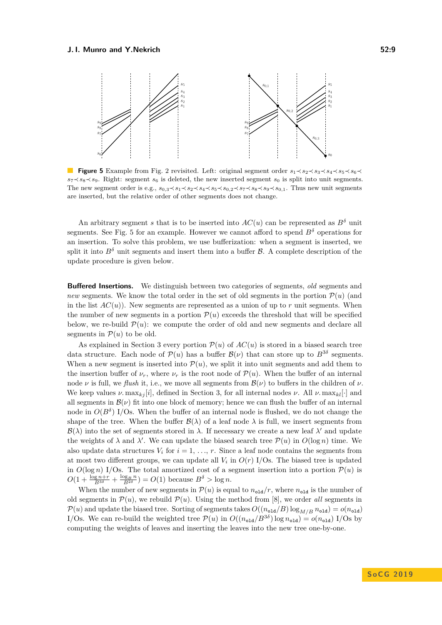<span id="page-8-0"></span>

**Figure 5** Example from Fig. [2](#page-3-1) revisited. Left: original segment order  $s_1 \prec s_2 \prec s_3 \prec s_4 \prec s_5 \prec s_6 \prec$  $s_7 \prec s_8 \prec s_9$ . Right: segment  $s_6$  is deleted, the new inserted segment  $s_0$  is split into unit segments. The new segment order is e.g.,  $s_{0,3} \prec s_1 \prec s_2 \prec s_4 \prec s_5 \prec s_{0,2} \prec s_7 \prec s_8 \prec s_{9,1}$ . Thus new unit segments are inserted, but the relative order of other segments does not change.

An arbitrary segment *s* that is to be inserted into  $AC(u)$  can be represented as  $B^{\delta}$  unit segments. See Fig. [5](#page-8-0) for an example. However we cannot afford to spend  $B^{\delta}$  operations for an insertion. To solve this problem, we use bufferization: when a segment is inserted, we split it into  $B^{\delta}$  unit segments and insert them into a buffer  $\beta$ . A complete description of the update procedure is given below.

**Buffered Insertions.** We distinguish between two categories of segments, *old* segments and *new* segments. We know the total order in the set of old segments in the portion  $\mathcal{P}(u)$  (and in the list  $AC(u)$ ). New segments are represented as a union of up to r unit segments. When the number of new segments in a portion  $\mathcal{P}(u)$  exceeds the threshold that will be specified below, we re-build  $\mathcal{P}(u)$ : we compute the order of old and new segments and declare all segments in  $\mathcal{P}(u)$  to be old.

As explained in Section [3](#page-4-0) every portion  $\mathcal{P}(u)$  of  $AC(u)$  is stored in a biased search tree data structure. Each node of  $\mathcal{P}(u)$  has a buffer  $\mathcal{B}(v)$  that can store up to  $B^{3\delta}$  segments. When a new segment is inserted into  $P(u)$ , we split it into unit segments and add them to the insertion buffer of  $\nu_r$ , where  $\nu_r$  is the root node of  $\mathcal{P}(u)$ . When the buffer of an internal node  $\nu$  is full, we *flush* it, i.e., we move all segments from  $\mathcal{B}(\nu)$  to buffers in the children of  $\nu$ . We keep values  $\nu$ . max<sub>kj</sub> [i], defined in Section [3,](#page-4-0) for all internal nodes  $\nu$ . All  $\nu$ . max<sub>kl</sub> [·] and all segments in  $\mathcal{B}(\nu)$  fit into one block of memory; hence we can flush the buffer of an internal node in  $O(B^{\delta})$  I/Os. When the buffer of an internal node is flushed, we do not change the shape of the tree. When the buffer  $\mathcal{B}(\lambda)$  of a leaf node  $\lambda$  is full, we insert segments from  $\mathcal{B}(\lambda)$  into the set of segments stored in  $\lambda$ . If necessary we create a new leaf  $\lambda'$  and update the weights of  $\lambda$  and  $\lambda'$ . We can update the biased search tree  $\mathcal{P}(u)$  in  $O(\log n)$  time. We also update data structures  $V_i$  for  $i = 1, \ldots, r$ . Since a leaf node contains the segments from at most two different groups, we can update all  $V_i$  in  $O(r)$  I/Os. The biased tree is updated in  $O(\log n) I/\text{Os}$ . The total amortized cost of a segment insertion into a portion  $P(u)$  is  $O(1 + \frac{\log_{B} n + r}{B^{3\delta}} + \frac{\log_{B} n}{B^{2\delta}}) = O(1)$  because  $B^{\delta} > \log n$ .

When the number of new segments in  $\mathcal{P}(u)$  is equal to  $n_{\text{old}}/r$ , where  $n_{\text{old}}$  is the number of old segments in  $\mathcal{P}(u)$ , we rebuild  $\mathcal{P}(u)$ . Using the method from [\[8\]](#page-13-9), we order *all* segments in  $\mathcal{P}(u)$  and update the biased tree. Sorting of segments takes  $O((n_{\text{old}}/B)\log_{M/B} n_{\text{old}}) = o(n_{\text{old}})$ I/Os. We can re-build the weighted tree  $\mathcal{P}(u)$  in  $O((n_{\text{old}}/B^{3\delta})\log n_{\text{old}}) = o(n_{\text{old}})$  I/Os by computing the weights of leaves and inserting the leaves into the new tree one-by-one.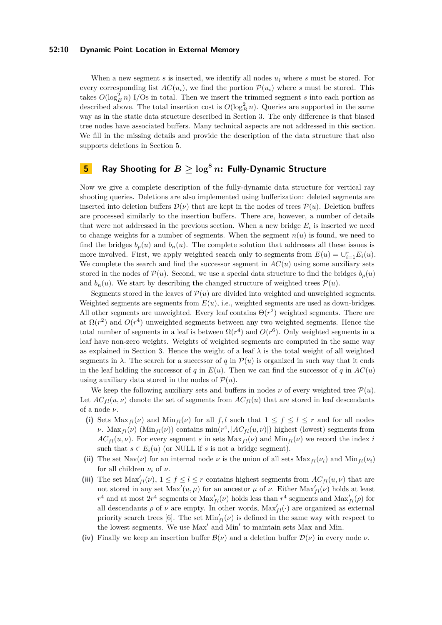#### **52:10 Dynamic Point Location in External Memory**

When a new segment *s* is inserted, we identify all nodes *u<sup>i</sup>* where *s* must be stored. For every corresponding list  $AC(u_i)$ , we find the portion  $\mathcal{P}(u_i)$  where *s* must be stored. This takes  $O(\log_B^2 n)$  I/Os in total. Then we insert the trimmed segment *s* into each portion as described above. The total insertion cost is  $O(\log_B^2 n)$ . Queries are supported in the same way as in the static data structure described in Section [3.](#page-4-0) The only difference is that biased tree nodes have associated buffers. Many technical aspects are not addressed in this section. We fill in the missing details and provide the description of the data structure that also supports deletions in Section [5.](#page-9-0)

# <span id="page-9-0"></span>**5 Ray Shooting for**  $B \geq \log^8 n$ : Fully-Dynamic Structure

Now we give a complete description of the fully-dynamic data structure for vertical ray shooting queries. Deletions are also implemented using bufferization: deleted segments are inserted into deletion buffers  $\mathcal{D}(\nu)$  that are kept in the nodes of trees  $\mathcal{P}(u)$ . Deletion buffers are processed similarly to the insertion buffers. There are, however, a number of details that were not addressed in the previous section. When a new bridge  $E_i$  is inserted we need to change weights for a number of segments. When the segment  $n(u)$  is found, we need to find the bridges  $b_p(u)$  and  $b_n(u)$ . The complete solution that addresses all these issues is more involved. First, we apply weighted search only to segments from  $E(u) = \bigcup_{i=1}^{r} E_i(u)$ . We complete the search and find the successor segment in  $AC(u)$  using some auxiliary sets stored in the nodes of  $\mathcal{P}(u)$ . Second, we use a special data structure to find the bridges  $b_p(u)$ and  $b_n(u)$ . We start by describing the changed structure of weighted trees  $\mathcal{P}(u)$ .

Segments stored in the leaves of  $\mathcal{P}(u)$  are divided into weighted and unweighted segments. Weighted segments are segments from *E*(*u*), i.e., weighted segments are used as down-bridges. All other segments are unweighted. Every leaf contains  $\Theta(r^2)$  weighted segments. There are at  $\Omega(r^2)$  and  $O(r^4)$  unweighted segments between any two weighted segments. Hence the total number of segments in a leaf is between  $\Omega(r^4)$  and  $O(r^6)$ . Only weighted segments in a leaf have non-zero weights. Weights of weighted segments are computed in the same way as explained in Section [3.](#page-4-0) Hence the weight of a leaf  $\lambda$  is the total weight of all weighted segments in  $\lambda$ . The search for a successor of *q* in  $\mathcal{P}(u)$  is organized in such way that it ends in the leaf holding the successor of *q* in  $E(u)$ . Then we can find the successor of *q* in  $AC(u)$ using auxiliary data stored in the nodes of  $\mathcal{P}(u)$ .

We keep the following auxiliary sets and buffers in nodes  $\nu$  of every weighted tree  $\mathcal{P}(u)$ . Let  $AC_{fl}(u, \nu)$  denote the set of segments from  $AC_{fl}(u)$  that are stored in leaf descendants of a node *ν*.

- (i) Sets  $\text{Max}_{fl}(\nu)$  and  $\text{Min}_{fl}(\nu)$  for all  $f, l$  such that  $1 \leq f \leq l \leq r$  and for all nodes *ν*. Max<sub>*fl</sub>*(*ν*) (Min<sub>*fl</sub>*(*ν*)) contains min(*r*<sup>4</sup>, |*AC<sub><i>fl*</sub>(*u, v*)|) highest (lowest) segments from</sub></sub>  $AC_{fl}(u, \nu)$ . For every segment *s* in sets  $\text{Max}_{fl}(\nu)$  and  $\text{Min}_{fl}(\nu)$  we record the index *i* such that  $s \in E_i(u)$  (or NULL if *s* is not a bridge segment).
- (ii) The set Nav(*v*) for an internal node *v* is the union of all sets  $Max_{fl}(\nu_i)$  and  $Min_{fl}(\nu_i)$ for all children  $\nu_i$  of  $\nu$ .
- (iii) The set  $\text{Max}_{fl}'(\nu)$ ,  $1 \leq f \leq l \leq r$  contains highest segments from  $AC_{fl}(u, \nu)$  that are not stored in any set  $\text{Max}'(u, \mu)$  for an ancestor  $\mu$  of  $\nu$ . Either  $\text{Max}'_{fl}(\nu)$  holds at least  $r^4$  and at most  $2r^4$  segments or  $\text{Max}_{fl}(\nu)$  holds less than  $r^4$  segments and  $\text{Max}_{fl}(\rho)$  for all descendants  $\rho$  of  $\nu$  are empty. In other words,  $\text{Max}'_{fl}(\cdot)$  are organized as external priority search trees [\[6\]](#page-13-15). The set  $\text{Min}'_{fl}(\nu)$  is defined in the same way with respect to the lowest segments. We use Max' and Min' to maintain sets Max and Min.
- (iv) Finally we keep an insertion buffer  $\mathcal{B}(\nu)$  and a deletion buffer  $\mathcal{D}(\nu)$  in every node  $\nu$ .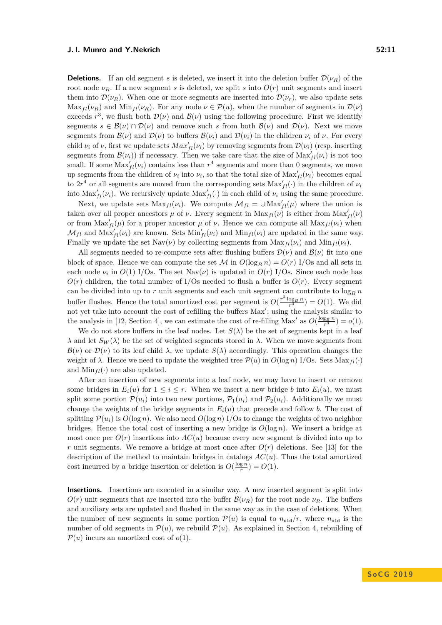**Deletions.** If an old segment *s* is deleted, we insert it into the deletion buffer  $\mathcal{D}(\nu_R)$  of the root node  $\nu_R$ . If a new segment *s* is deleted, we split *s* into  $O(r)$  unit segments and insert them into  $\mathcal{D}(\nu_R)$ . When one or more segments are inserted into  $\mathcal{D}(\nu_r)$ , we also update sets  $\text{Max}_{fl}(\nu_R)$  and  $\text{Min}_{fl}(\nu_R)$ . For any node  $\nu \in \mathcal{P}(u)$ , when the number of segments in  $\mathcal{D}(\nu)$ exceeds  $r^3$ , we flush both  $\mathcal{D}(\nu)$  and  $\mathcal{B}(\nu)$  using the following procedure. First we identify segments  $s \in \mathcal{B}(\nu) \cap \mathcal{D}(\nu)$  and remove such *s* from both  $\mathcal{B}(\nu)$  and  $\mathcal{D}(\nu)$ . Next we move segments from  $\mathcal{B}(\nu)$  and  $\mathcal{D}(\nu)$  to buffers  $\mathcal{B}(\nu_i)$  and  $\mathcal{D}(\nu_i)$  in the children  $\nu_i$  of  $\nu$ . For every child  $\nu_i$  of  $\nu$ , first we update sets  $Max'_{fl}(\nu_i)$  by removing segments from  $\mathcal{D}(\nu_i)$  (resp. inserting segments from  $\mathcal{B}(\nu_i)$  if necessary. Then we take care that the size of  $\text{Max}_{fl}'(\nu_i)$  is not too small. If some  $\text{Max}_{fl}(\nu_i)$  contains less than  $r^4$  segments and more than 0 segments, we move up segments from the children of  $\nu_i$  into  $\nu_i$ , so that the total size of  $\text{Max}_{fl}(\nu_i)$  becomes equal to  $2r^4$  or all segments are moved from the corresponding sets  $\text{Max}_{fl}(\cdot)$  in the children of  $\nu_i$ into  $\text{Max}_{fl}(\nu_i)$ . We recursively update  $\text{Max}_{fl}(\cdot)$  in each child of  $\nu_i$  using the same procedure.

Next, we update sets  $\text{Max}_{fl}(\nu_i)$ . We compute  $\mathcal{M}_{fl} = \cup \text{Max}'_{fl}(\mu)$  where the union is taken over all proper ancestors  $\mu$  of  $\nu$ . Every segment in  $\text{Max}_{fl}(\nu)$  is either from  $\text{Max}_{fl}'(\nu)$ or from  $\text{Max}_{fl}(\mu)$  for a proper ancestor  $\mu$  of  $\nu$ . Hence we can compute all  $\text{Max}_{fl}(\nu_i)$  when  $\mathcal{M}_{fl}$  and  $\text{Max}'_{fl}(\nu_i)$  are known. Sets  $\text{Min}'_{fl}(\nu_i)$  and  $\text{Min}_{fl}(\nu_i)$  are updated in the same way. Finally we update the set  $\text{Nav}(\nu)$  by collecting segments from  $\text{Max}_{fl}(\nu_i)$  and  $\text{Min}_{fl}(\nu_i)$ .

All segments needed to re-compute sets after flushing buffers  $\mathcal{D}(\nu)$  and  $\mathcal{B}(\nu)$  fit into one block of space. Hence we can compute the set M in  $O(\log_B n) = O(r)$  I/Os and all sets in each node  $\nu_i$  in  $O(1)$  I/Os. The set  $\text{Nav}(\nu)$  is updated in  $O(r)$  I/Os. Since each node has  $O(r)$  children, the total number of I/Os needed to flush a buffer is  $O(r)$ . Every segment can be divided into up to r unit segments and each unit segment can contribute to  $\log_B n$ buffer flushes. Hence the total amortized cost per segment is  $O(\frac{r^2 \log_B n}{r^3}) = O(1)$ . We did not yet take into account the cost of refilling the buffers Max'; using the analysis similar to the analysis in [\[12,](#page-13-16) Section 4], we can estimate the cost of re-filling Max' as  $O(\frac{\log_B n}{r^3}) = o(1)$ .

We do not store buffers in the leaf nodes. Let  $S(\lambda)$  be the set of segments kept in a leaf *λ* and let  $S$ *W* (*λ*) be the set of weighted segments stored in *λ*. When we move segments from  $\mathcal{B}(\nu)$  or  $\mathcal{D}(\nu)$  to its leaf child  $\lambda$ , we update  $S(\lambda)$  accordingly. This operation changes the weight of  $\lambda$ . Hence we need to update the weighted tree  $\mathcal{P}(u)$  in  $O(\log n)$  I/Os. Sets Max<sub>fl</sub>(·) and  $\text{Min}_{fl}(\cdot)$  are also updated.

After an insertion of new segments into a leaf node, we may have to insert or remove some bridges in  $E_i(u)$  for  $1 \leq i \leq r$ . When we insert a new bridge *b* into  $E_i(u)$ , we must split some portion  $\mathcal{P}(u_i)$  into two new portions,  $\mathcal{P}_1(u_i)$  and  $\mathcal{P}_2(u_i)$ . Additionally we must change the weights of the bridge segments in  $E_i(u)$  that precede and follow *b*. The cost of splitting  $\mathcal{P}(u_i)$  is  $O(\log n)$ . We also need  $O(\log n)$  I/Os to change the weights of two neighbor bridges. Hence the total cost of inserting a new bridge is  $O(\log n)$ . We insert a bridge at most once per  $O(r)$  insertions into  $AC(u)$  because every new segment is divided into up to *r* unit segments. We remove a bridge at most once after  $O(r)$  deletions. See [\[13\]](#page-13-4) for the description of the method to maintain bridges in catalogs *AC*(*u*). Thus the total amortized cost incurred by a bridge insertion or deletion is  $O(\frac{\log n}{r}) = O(1)$ .

**Insertions.** Insertions are executed in a similar way. A new inserted segment is split into  $O(r)$  unit segments that are inserted into the buffer  $\mathcal{B}(\nu_R)$  for the root node  $\nu_R$ . The buffers and auxiliary sets are updated and flushed in the same way as in the case of deletions. When the number of new segments in some portion  $\mathcal{P}(u)$  is equal to  $n_{\text{old}}/r$ , where  $n_{\text{old}}$  is the number of old segments in  $\mathcal{P}(u)$ , we rebuild  $\mathcal{P}(u)$ . As explained in Section [4,](#page-7-0) rebuilding of  $\mathcal{P}(u)$  incurs an amortized cost of  $o(1)$ .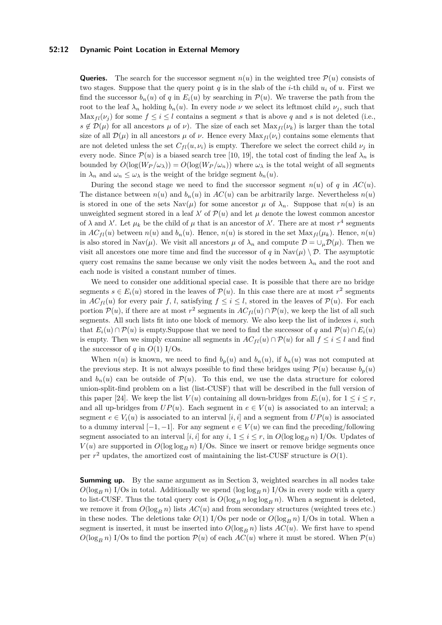#### **52:12 Dynamic Point Location in External Memory**

**Queries.** The search for the successor segment  $n(u)$  in the weighted tree  $\mathcal{P}(u)$  consists of two stages. Suppose that the query point *q* is in the slab of the *i*-th child  $u_i$  of *u*. First we find the successor  $b_n(u)$  of *q* in  $E_i(u)$  by searching in  $\mathcal{P}(u)$ . We traverse the path from the root to the leaf  $\lambda_n$  holding  $b_n(u)$ . In every node  $\nu$  we select its leftmost child  $\nu_j$ , such that Max<sub>*fl*</sub>( $\nu$ <sub>*j*</sub>) for some  $f \leq i \leq l$  contains a segment *s* that is above *q* and *s* is not deleted (i.e.,  $s \notin \mathcal{D}(\mu)$  for all ancestors  $\mu$  of  $\nu$ ). The size of each set  $\text{Max}_{fl}(\nu_k)$  is larger than the total size of all  $\mathcal{D}(\mu)$  in all ancestors  $\mu$  of  $\nu$ . Hence every  $\text{Max}_{fl}(\nu_i)$  contains some elements that are not deleted unless the set  $C_{fl}(u, \nu_i)$  is empty. Therefore we select the correct child  $\nu_i$  in every node. Since  $\mathcal{P}(u)$  is a biased search tree [\[10,](#page-13-14) [19\]](#page-14-9), the total cost of finding the leaf  $\lambda_n$  is bounded by  $O(\log(W_P/\omega_\lambda)) = O(\log(W_P/\omega_n))$  where  $\omega_\lambda$  is the total weight of all segments in  $\lambda_n$  and  $\omega_n \leq \omega_\lambda$  is the weight of the bridge segment  $b_n(u)$ .

During the second stage we need to find the successor segment  $n(u)$  of q in  $AC(u)$ . The distance between  $n(u)$  and  $b_n(u)$  in  $AC(u)$  can be arbitrarily large. Nevertheless  $n(u)$ is stored in one of the sets  $\text{Nav}(\mu)$  for some ancestor  $\mu$  of  $\lambda_n$ . Suppose that  $n(u)$  is an unweighted segment stored in a leaf  $\lambda'$  of  $\mathcal{P}(u)$  and let  $\mu$  denote the lowest common ancestor of  $\lambda$  and  $\lambda'$ . Let  $\mu_k$  be the child of  $\mu$  that is an ancestor of  $\lambda'$ . There are at most  $r^4$  segments in  $AC_{fl}(u)$  between  $n(u)$  and  $b_n(u)$ . Hence,  $n(u)$  is stored in the set  $Max_{fl}(\mu_k)$ . Hence,  $n(u)$ is also stored in Nav $(\mu)$ . We visit all ancestors  $\mu$  of  $\lambda_n$  and compute  $\mathcal{D} = \cup_{\mu} \mathcal{D}(\mu)$ . Then we visit all ancestors one more time and find the successor of *q* in Nav $(\mu) \setminus \mathcal{D}$ . The asymptotic query cost remains the same because we only visit the nodes between  $\lambda_n$  and the root and each node is visited a constant number of times.

We need to consider one additional special case. It is possible that there are no bridge segments  $s \in E_i(u)$  stored in the leaves of  $\mathcal{P}(u)$ . In this case there are at most  $r^2$  segments in  $AC_{fl}(u)$  for every pair *f, l,* satisfying  $f \leq i \leq l$ , stored in the leaves of  $\mathcal{P}(u)$ . For each portion  $P(u)$ , if there are at most  $r^2$  segments in  $AC_{fl}(u) \cap P(u)$ , we keep the list of all such segments. All such lists fit into one block of memory. We also keep the list of indexes  $i$ , such that  $E_i(u) \cap \mathcal{P}(u)$  is empty.Suppose that we need to find the successor of *q* and  $\mathcal{P}(u) \cap E_i(u)$ is empty. Then we simply examine all segments in  $AC_{fl}(u) \cap P(u)$  for all  $f \leq i \leq l$  and find the successor of  $q$  in  $O(1)$  I/Os.

When  $n(u)$  is known, we need to find  $b_p(u)$  and  $b_n(u)$ , if  $b_n(u)$  was not computed at the previous step. It is not always possible to find these bridges using  $\mathcal{P}(u)$  because  $b_p(u)$ and  $b_n(u)$  can be outside of  $\mathcal{P}(u)$ . To this end, we use the data structure for colored union-split-find problem on a list (list-CUSF) that will be described in the full version of this paper [\[24\]](#page-14-8). We keep the list  $V(u)$  containing all down-bridges from  $E_i(u)$ , for  $1 \leq i \leq r$ , and all up-bridges from  $UP(u)$ . Each segment in  $e \in V(u)$  is associated to an interval; a segment  $e \in V_i(u)$  is associated to an interval [*i*, *i*] and a segment from  $UP(u)$  is associated to a dummy interval  $[-1, -1]$ . For any segment  $e \in V(u)$  we can find the preceding/following segment associated to an interval [*i, i*] for any *i*,  $1 \le i \le r$ , in  $O(\log \log_R n)$  I/Os. Updates of  $V(u)$  are supported in  $O(\log \log_B n)$  I/Os. Since we insert or remove bridge segments once per  $r^2$  updates, the amortized cost of maintaining the list-CUSF structure is  $O(1)$ .

**Summing up.** By the same argument as in Section [3,](#page-4-0) weighted searches in all nodes take  $O(\log_B n)$  I/Os in total. Additionally we spend  $(\log \log_B n)$  I/Os in every node with a query to list-CUSF. Thus the total query cost is  $O(\log_B n \log \log_B n)$ . When a segment is deleted, we remove it from  $O(\log_B n)$  lists  $AC(u)$  and from secondary structures (weighted trees etc.) in these nodes. The deletions take  $O(1)$  I/Os per node or  $O(\log_B n)$  I/Os in total. When a segment is inserted, it must be inserted into  $O(\log_B n)$  lists  $AC(u)$ . We first have to spend  $O(\log_B n)$  I/Os to find the portion  $P(u)$  of each  $AC(u)$  where it must be stored. When  $P(u)$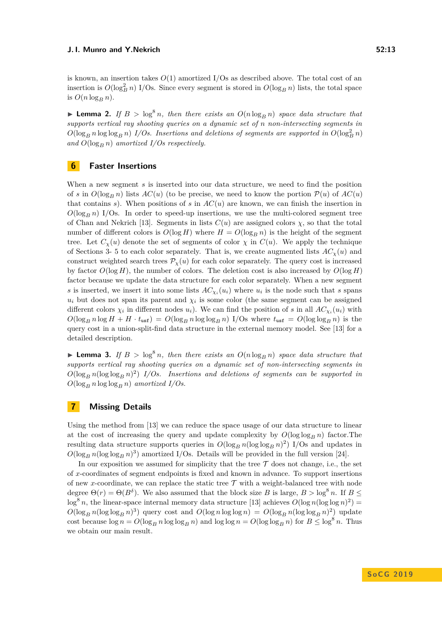is known, an insertion takes  $O(1)$  amortized I/Os as described above. The total cost of an insertion is  $O(\log_B^2 n)$  I/Os. Since every segment is stored in  $O(\log_B n)$  lists, the total space is  $O(n \log_B n)$ .

<span id="page-12-0"></span>**I Lemma 2.** If  $B > \log^8 n$ , then there exists an  $O(n \log_B n)$  space data structure that *supports vertical ray shooting queries on a dynamic set of n non-intersecting segments in*  $O(\log_B n \log \log_B n)$  *I/Os. Insertions and deletions of segments are supported in*  $O(\log_B^2 n)$ and  $O(\log_B n)$  amortized I/Os respectively.

## <span id="page-12-1"></span>**6 Faster Insertions**

When a new segment *s* is inserted into our data structure, we need to find the position of *s* in  $O(\log_R n)$  lists  $AC(u)$  (to be precise, we need to know the portion  $P(u)$  of  $AC(u)$ that contains *s*). When positions of *s* in  $AC(u)$  are known, we can finish the insertion in  $O(\log_B n)$  I/Os. In order to speed-up insertions, we use the multi-colored segment tree of Chan and Nekrich [\[13\]](#page-13-4). Segments in lists  $C(u)$  are assigned colors  $\chi$ , so that the total number of different colors is  $O(\log H)$  where  $H = O(\log_R n)$  is the height of the segment tree. Let  $C_\chi(u)$  denote the set of segments of color  $\chi$  in  $C(u)$ . We apply the technique of Sections [3-](#page-4-0) [5](#page-9-0) to each color separately. That is, we create augmented lists  $AC_{\chi}(u)$  and construct weighted search trees  $P_{\chi}(u)$  for each color separately. The query cost is increased by factor  $O(\log H)$ , the number of colors. The deletion cost is also increased by  $O(\log H)$ factor because we update the data structure for each color separately. When a new segment *s* is inserted, we insert it into some lists  $AC_{\chi_i}(u_i)$  where  $u_i$  is the node such that *s* spans  $u_i$  but does not span its parent and  $\chi_i$  is some color (the same segment can be assigned different colors  $\chi_i$  in different nodes  $u_i$ ). We can find the position of *s* in all  $AC_{\chi_i}(u_i)$  with  $O(\log_B n \log H + H \cdot t_{\text{usf}}) = O(\log_B n \log \log_B n)$  I/Os where  $t_{\text{usf}} = O(\log \log_B n)$  is the query cost in a union-split-find data structure in the external memory model. See [\[13\]](#page-13-4) for a detailed description.

**Lemma 3.** If  $B > \log^8 n$ , then there exists an  $O(n \log_B n)$  space data structure that *supports vertical ray shooting queries on a dynamic set of non-intersecting segments in*  $O(\log_B n (\log \log n)^2)$  *I/Os.* Insertions and deletions of segments can be supported in  $O(\log_B n \log \log_B n)$  *amortized I/Os.* 

## <span id="page-12-2"></span>**7 Missing Details**

Using the method from [\[13\]](#page-13-4) we can reduce the space usage of our data structure to linear at the cost of increasing the query and update complexity by  $O(\log \log_R n)$  factor. The resulting data structure supports queries in  $O(\log_B n (\log \log_B n)^2)$  I/Os and updates in  $O(\log_B n (\log \log B n)^3)$  amortized I/Os. Details will be provided in the full version [\[24\]](#page-14-8).

In our exposition we assumed for simplicity that the tree  $\mathcal T$  does not change, i.e., the set of *x*-coordinates of segment endpoints is fixed and known in advance. To support insertions of new *x*-coordinate, we can replace the static tree  $\mathcal T$  with a weight-balanced tree with node degree  $\Theta(r) = \Theta(B^{\delta})$ . We also assumed that the block size *B* is large,  $B > \log^8 n$ . If  $B \leq$  $\log^8 n$ , the linear-space internal memory data structure [\[13\]](#page-13-4) achieves  $O(\log n (\log \log n)^2)$  =  $O(\log_B n (\log \log B n)^3)$  query cost and  $O(\log n \log \log n) = O(\log B n (\log \log B n)^2)$  update cost because  $\log n = O(\log_B n \log \log_B n)$  and  $\log \log n = O(\log \log_B n)$  for  $B \le \log^8 n$ . Thus we obtain our main result.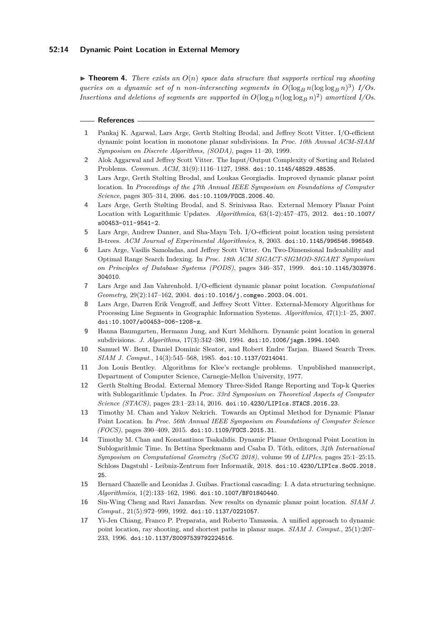#### **52:14 Dynamic Point Location in External Memory**

 $\triangleright$  **Theorem 4.** *There exists an*  $O(n)$  *space data structure that supports vertical ray shooting queries on a dynamic set of <i>n non-intersecting segments in*  $O(\log_B n (\log \log_B n)^3)$  *I/Os. Insertions and deletions of segments are supported in*  $O(\log_B n (\log \log n)^2)$  *amortized I/Os.* 

#### **References**

- <span id="page-13-10"></span>**1** Pankaj K. Agarwal, Lars Arge, Gerth Stølting Brodal, and Jeffrey Scott Vitter. I/O-efficient dynamic point location in monotone planar subdivisions. In *Proc. 10th Annual ACM-SIAM Symposium on Discrete Algorithms, (SODA)*, pages 11–20, 1999.
- <span id="page-13-7"></span>**2** Alok Aggarwal and Jeffrey Scott Vitter. The Input/Output Complexity of Sorting and Related Problems. *Commun. ACM*, 31(9):1116–1127, 1988. [doi:10.1145/48529.48535](http://dx.doi.org/10.1145/48529.48535).
- <span id="page-13-3"></span>**3** Lars Arge, Gerth Stølting Brodal, and Loukas Georgiadis. Improved dynamic planar point location. In *Proceedings of the 47th Annual IEEE Symposium on Foundations of Computer Science*, pages 305–314, 2006. [doi:10.1109/FOCS.2006.40](http://dx.doi.org/10.1109/FOCS.2006.40).
- <span id="page-13-12"></span>**4** Lars Arge, Gerth Stølting Brodal, and S. Srinivasa Rao. External Memory Planar Point Location with Logarithmic Updates. *Algorithmica*, 63(1-2):457–475, 2012. [doi:10.1007/](http://dx.doi.org/10.1007/s00453-011-9541-2) [s00453-011-9541-2](http://dx.doi.org/10.1007/s00453-011-9541-2).
- <span id="page-13-8"></span>**5** Lars Arge, Andrew Danner, and Sha-Mayn Teh. I/O-efficient point location using persistent B-trees. *ACM Journal of Experimental Algorithmics*, 8, 2003. [doi:10.1145/996546.996549](http://dx.doi.org/10.1145/996546.996549).
- <span id="page-13-15"></span>**6** Lars Arge, Vasilis Samoladas, and Jeffrey Scott Vitter. On Two-Dimensional Indexability and Optimal Range Search Indexing. In *Proc. 18th ACM SIGACT-SIGMOD-SIGART Symposium on Principles of Database Systems (PODS)*, pages 346–357, 1999. [doi:10.1145/303976.](http://dx.doi.org/10.1145/303976.304010) [304010](http://dx.doi.org/10.1145/303976.304010).
- <span id="page-13-11"></span>**7** Lars Arge and Jan Vahrenhold. I/O-efficient dynamic planar point location. *Computational Geometry*, 29(2):147–162, 2004. [doi:10.1016/j.comgeo.2003.04.001](http://dx.doi.org/10.1016/j.comgeo.2003.04.001).
- <span id="page-13-9"></span>**8** Lars Arge, Darren Erik Vengroff, and Jeffrey Scott Vitter. External-Memory Algorithms for Processing Line Segments in Geographic Information Systems. *Algorithmica*, 47(1):1–25, 2007. [doi:10.1007/s00453-006-1208-z](http://dx.doi.org/10.1007/s00453-006-1208-z).
- <span id="page-13-2"></span>**9** Hanna Baumgarten, Hermann Jung, and Kurt Mehlhorn. Dynamic point location in general subdivisions. *J. Algorithms*, 17(3):342–380, 1994. [doi:10.1006/jagm.1994.1040](http://dx.doi.org/10.1006/jagm.1994.1040).
- <span id="page-13-14"></span>**10** Samuel W. Bent, Daniel Dominic Sleator, and Robert Endre Tarjan. Biased Search Trees. *SIAM J. Comput.*, 14(3):545–568, 1985. [doi:10.1137/0214041](http://dx.doi.org/10.1137/0214041).
- <span id="page-13-0"></span>**11** Jon Louis Bentley. Algorithms for Klee's rectangle problems. Unpublished manuscript, Department of Computer Science, Carnegie-Mellon University, 1977.
- <span id="page-13-16"></span>**12** Gerth Stølting Brodal. External Memory Three-Sided Range Reporting and Top-k Queries with Sublogarithmic Updates. In *Proc. 33rd Symposium on Theoretical Aspects of Computer Science (STACS)*, pages 23:1–23:14, 2016. [doi:10.4230/LIPIcs.STACS.2016.23](http://dx.doi.org/10.4230/LIPIcs.STACS.2016.23).
- <span id="page-13-4"></span>**13** Timothy M. Chan and Yakov Nekrich. Towards an Optimal Method for Dynamic Planar Point Location. In *Proc. 56th Annual IEEE Symposium on Foundations of Computer Science (FOCS)*, pages 390–409, 2015. [doi:10.1109/FOCS.2015.31](http://dx.doi.org/10.1109/FOCS.2015.31).
- <span id="page-13-6"></span>**14** Timothy M. Chan and Konstantinos Tsakalidis. Dynamic Planar Orthogonal Point Location in Sublogarithmic Time. In Bettina Speckmann and Csaba D. Tóth, editors, *34th International Symposium on Computational Geometry (SoCG 2018)*, volume 99 of *LIPIcs*, pages 25:1–25:15. Schloss Dagstuhl - Leibniz-Zentrum fuer Informatik, 2018. [doi:10.4230/LIPIcs.SoCG.2018.](http://dx.doi.org/10.4230/LIPIcs.SoCG.2018.25) [25](http://dx.doi.org/10.4230/LIPIcs.SoCG.2018.25).
- <span id="page-13-13"></span>**15** Bernard Chazelle and Leonidas J. Guibas. Fractional cascading: I. A data structuring technique. *Algorithmica*, 1(2):133–162, 1986. [doi:10.1007/BF01840440](http://dx.doi.org/10.1007/BF01840440).
- <span id="page-13-1"></span>**16** Siu-Wing Cheng and Ravi Janardan. New results on dynamic planar point location. *SIAM J. Comput.*, 21(5):972–999, 1992. [doi:10.1137/0221057](http://dx.doi.org/10.1137/0221057).
- <span id="page-13-5"></span>**17** Yi-Jen Chiang, Franco P. Preparata, and Roberto Tamassia. A unified approach to dynamic point location, ray shooting, and shortest paths in planar maps. *SIAM J. Comput.*, 25(1):207– 233, 1996. [doi:10.1137/S0097539792224516](http://dx.doi.org/10.1137/S0097539792224516).